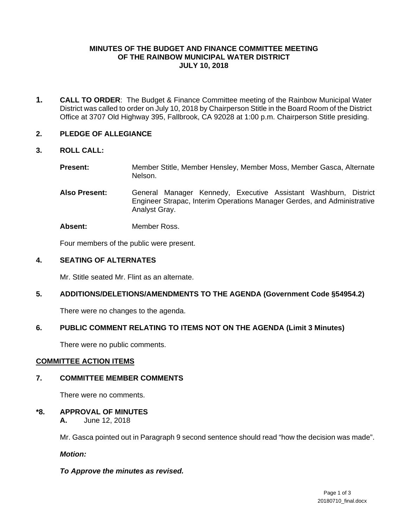## **MINUTES OF THE BUDGET AND FINANCE COMMITTEE MEETING OF THE RAINBOW MUNICIPAL WATER DISTRICT JULY 10, 2018**

**1. CALL TO ORDER**: The Budget & Finance Committee meeting of the Rainbow Municipal Water District was called to order on July 10, 2018 by Chairperson Stitle in the Board Room of the District Office at 3707 Old Highway 395, Fallbrook, CA 92028 at 1:00 p.m. Chairperson Stitle presiding.

## **2. PLEDGE OF ALLEGIANCE**

## **3. ROLL CALL:**

**Present:** Member Stitle, Member Hensley, Member Moss, Member Gasca, Alternate Nelson.

**Also Present:** General Manager Kennedy, Executive Assistant Washburn, District Engineer Strapac, Interim Operations Manager Gerdes, and Administrative Analyst Gray.

**Absent:** Member Ross.

Four members of the public were present.

## **4. SEATING OF ALTERNATES**

Mr. Stitle seated Mr. Flint as an alternate.

## **5. ADDITIONS/DELETIONS/AMENDMENTS TO THE AGENDA (Government Code §54954.2)**

There were no changes to the agenda.

## **6. PUBLIC COMMENT RELATING TO ITEMS NOT ON THE AGENDA (Limit 3 Minutes)**

There were no public comments.

## **COMMITTEE ACTION ITEMS**

## **7. COMMITTEE MEMBER COMMENTS**

There were no comments.

## **\*8. APPROVAL OF MINUTES**

 **A.** June 12, 2018

Mr. Gasca pointed out in Paragraph 9 second sentence should read "how the decision was made".

*Motion:* 

## *To Approve the minutes as revised.*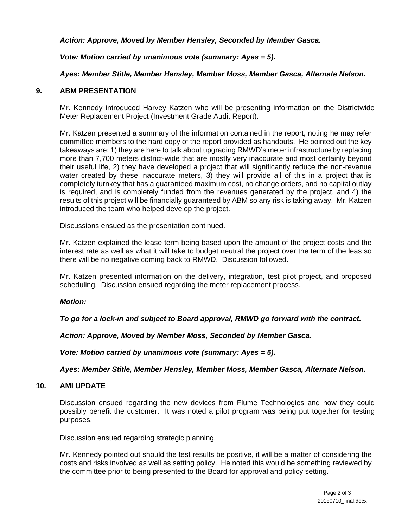*Action: Approve, Moved by Member Hensley, Seconded by Member Gasca.* 

*Vote: Motion carried by unanimous vote (summary: Ayes = 5).* 

## *Ayes: Member Stitle, Member Hensley, Member Moss, Member Gasca, Alternate Nelson.*

## **9. ABM PRESENTATION**

Mr. Kennedy introduced Harvey Katzen who will be presenting information on the Districtwide Meter Replacement Project (Investment Grade Audit Report).

Mr. Katzen presented a summary of the information contained in the report, noting he may refer committee members to the hard copy of the report provided as handouts. He pointed out the key takeaways are: 1) they are here to talk about upgrading RMWD's meter infrastructure by replacing more than 7,700 meters district-wide that are mostly very inaccurate and most certainly beyond their useful life, 2) they have developed a project that will significantly reduce the non-revenue water created by these inaccurate meters, 3) they will provide all of this in a project that is completely turnkey that has a guaranteed maximum cost, no change orders, and no capital outlay is required, and is completely funded from the revenues generated by the project, and 4) the results of this project will be financially guaranteed by ABM so any risk is taking away. Mr. Katzen introduced the team who helped develop the project.

Discussions ensued as the presentation continued.

Mr. Katzen explained the lease term being based upon the amount of the project costs and the interest rate as well as what it will take to budget neutral the project over the term of the leas so there will be no negative coming back to RMWD. Discussion followed.

Mr. Katzen presented information on the delivery, integration, test pilot project, and proposed scheduling. Discussion ensued regarding the meter replacement process.

## *Motion:*

*To go for a lock-in and subject to Board approval, RMWD go forward with the contract.* 

*Action: Approve, Moved by Member Moss, Seconded by Member Gasca.* 

*Vote: Motion carried by unanimous vote (summary: Ayes = 5).* 

*Ayes: Member Stitle, Member Hensley, Member Moss, Member Gasca, Alternate Nelson.* 

#### **10. AMI UPDATE**

Discussion ensued regarding the new devices from Flume Technologies and how they could possibly benefit the customer. It was noted a pilot program was being put together for testing purposes.

Discussion ensued regarding strategic planning.

 Mr. Kennedy pointed out should the test results be positive, it will be a matter of considering the costs and risks involved as well as setting policy. He noted this would be something reviewed by the committee prior to being presented to the Board for approval and policy setting.